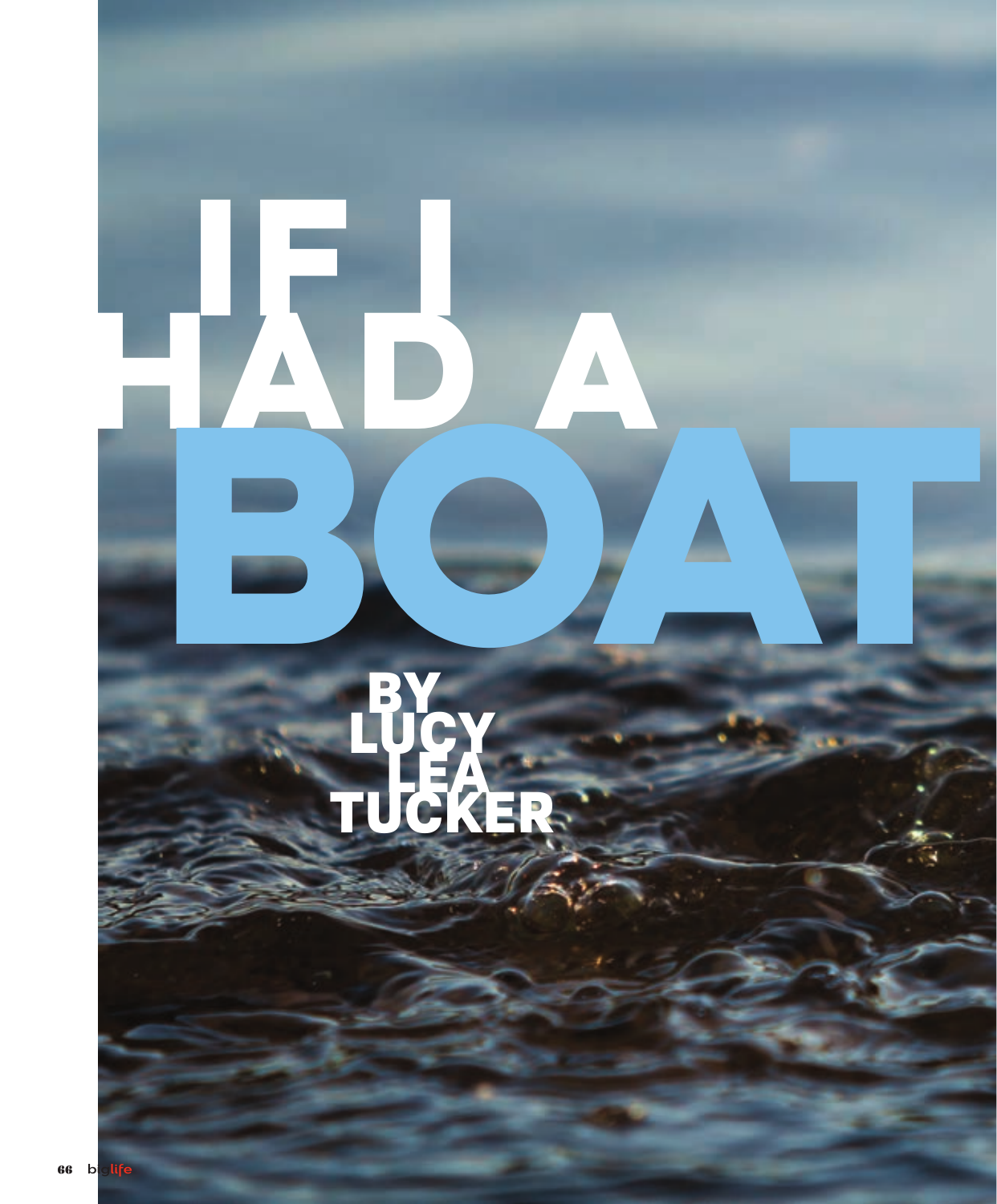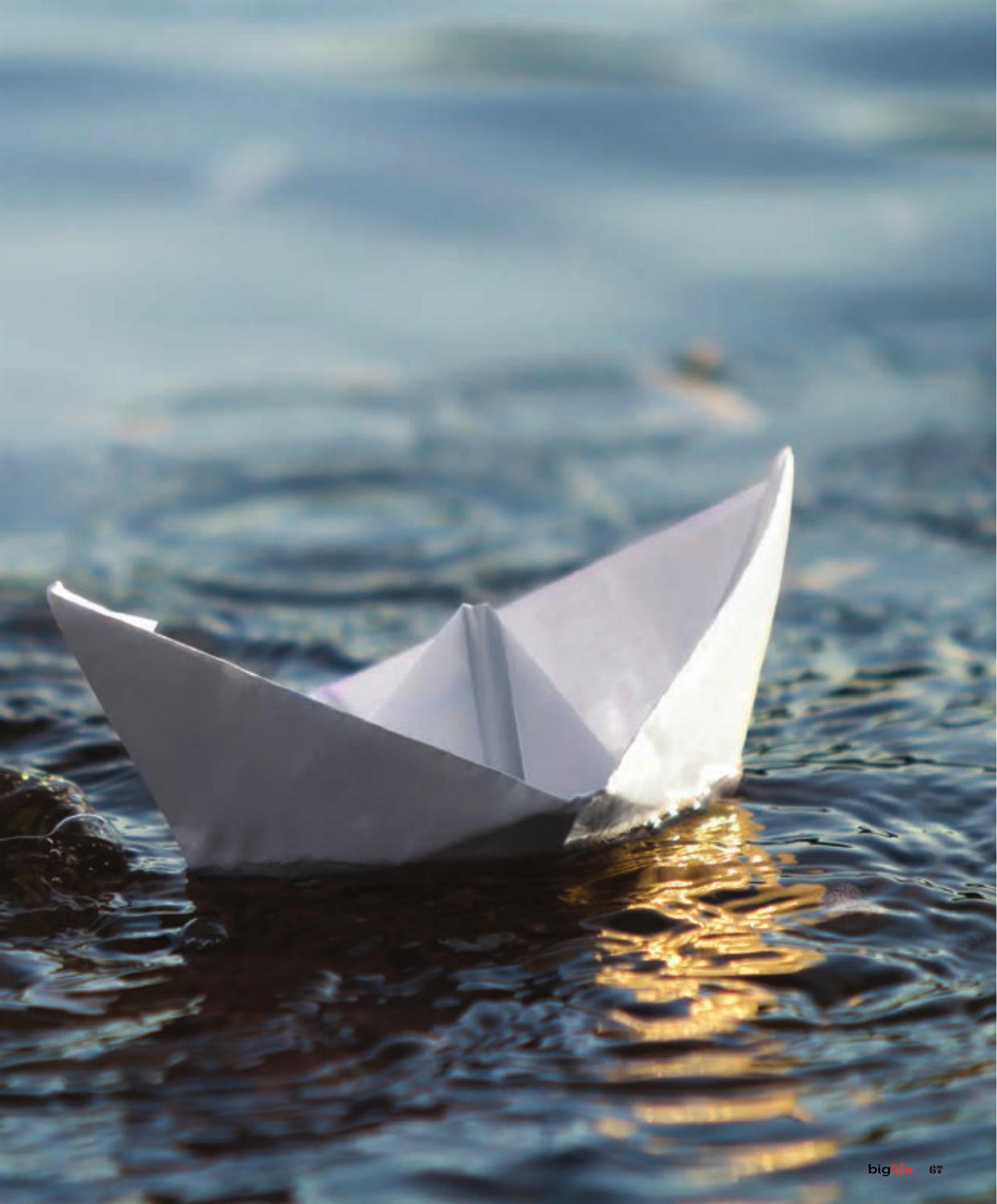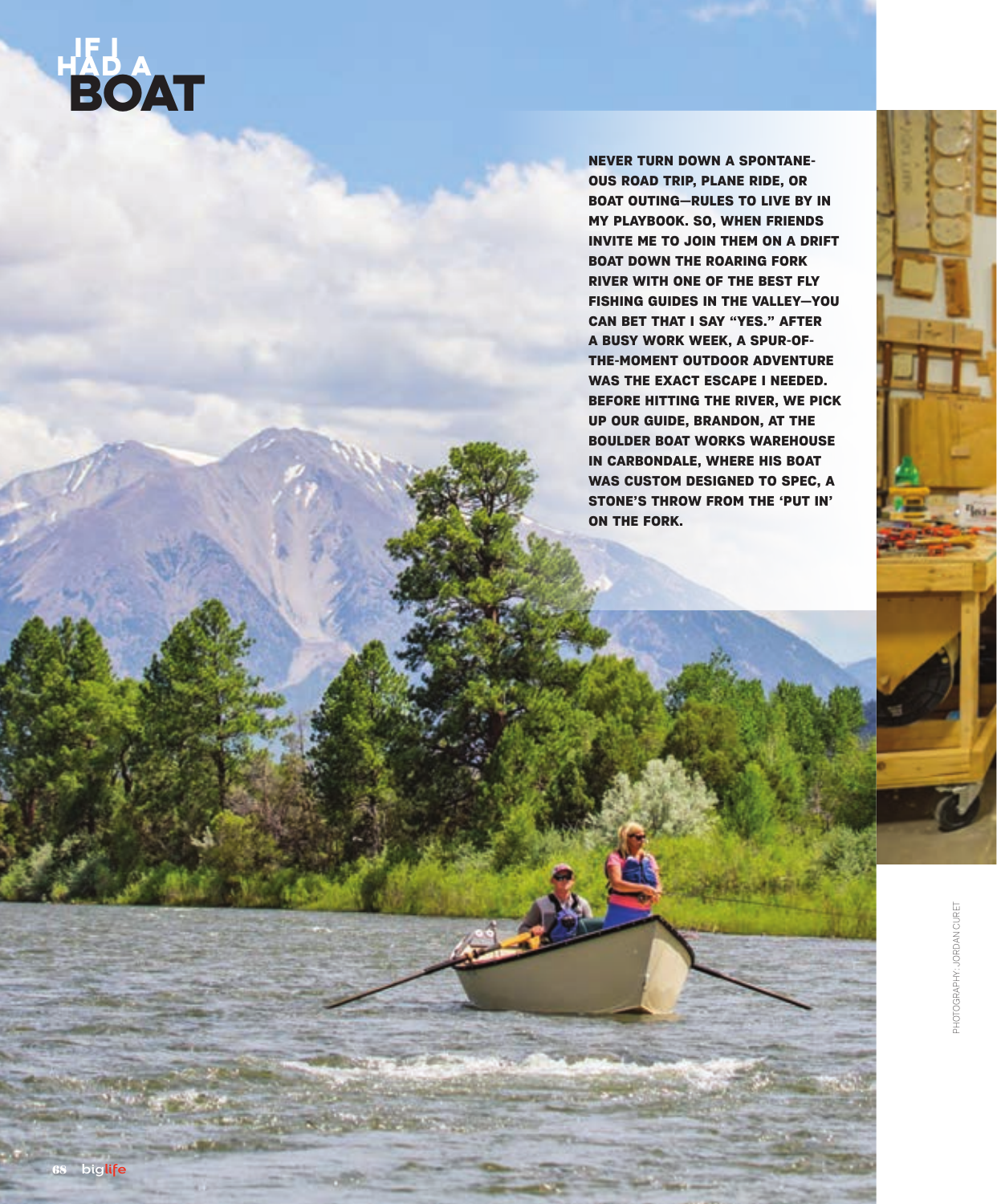## **HADAT**

NEVER TURN DOWN A SPONTANE-OUS ROAD TRIP, PLANE RIDE, OR BOAT OUTING—RULES TO LIVE BY IN MY PLAYBOOK. SO, WHEN FRIENDS INVITE ME TO JOIN THEM ON A DRIFT BOAT DOWN THE ROARING FORK RIVER WITH ONE OF THE BEST FLY FISHING GUIDES IN THE VALLEY—YOU CAN BET THAT I SAY "YES." AFTER A BUSY WORK WEEK, A SPUR-OF-THE-MOMENT OUTDOOR ADVENTURE WAS THE EXACT ESCAPE I NEEDED. BEFORE HITTING THE RIVER, WE PICK UP OUR GUIDE, BRANDON, AT THE BOULDER BOAT WORKS WAREHOUSE IN CARBONDALE, WHERE HIS BOAT WAS CUSTOM DESIGNED TO SPEC, A STONE'S THROW FROM THE 'PUT IN' ON THE FORK.

**PERMIT ROAD** 



68 **biglife**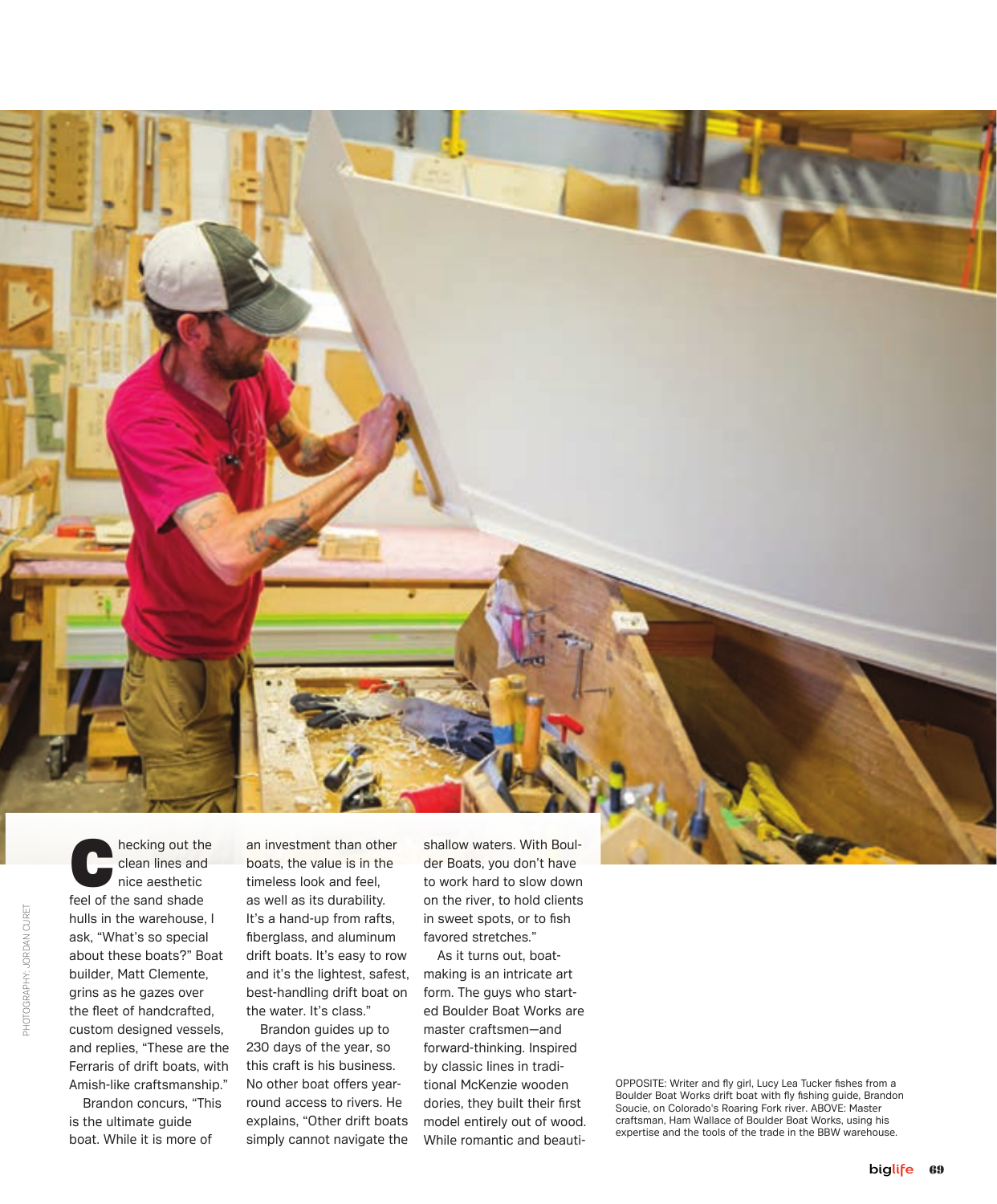

clean lines and nice aesthetic feel of the sand shade hulls in the warehouse, I ask, "What's so special about these boats?" Boat builder, Matt Clemente, grins as he gazes over the fleet of handcrafted, custom designed vessels, and replies, "These are the Ferraris of drift boats, with Amish-like craftsmanship."

Brandon concurs, "This is the ultimate guide boat. While it is more of

an investment than other boats, the value is in the timeless look and feel, as well as its durability. It's a hand-up from rafts, fiberglass, and aluminum drift boats. It's easy to row and it's the lightest, safest, best-handling drift boat on the water. It's class."

Brandon guides up to 230 days of the year, so this craft is his business. No other boat offers yearround access to rivers. He explains, "Other drift boats simply cannot navigate the

shallow waters. With Boulder Boats, you don't have to work hard to slow down on the river, to hold clients in sweet spots, or to fish favored stretches."

As it turns out, boatmaking is an intricate art form. The guys who started Boulder Boat Works are master craftsmen—and forward-thinking. Inspired by classic lines in traditional McKenzie wooden dories, they built their first model entirely out of wood. While romantic and beauti-

OPPOSITE: Writer and fly girl, Lucy Lea Tucker fishes from a Boulder Boat Works drift boat with fly fishing guide, Brandon Soucie, on Colorado's Roaring Fork river. ABOVE: Master craftsman, Ham Wallace of Boulder Boat Works, using his expertise and the tools of the trade in the BBW warehouse.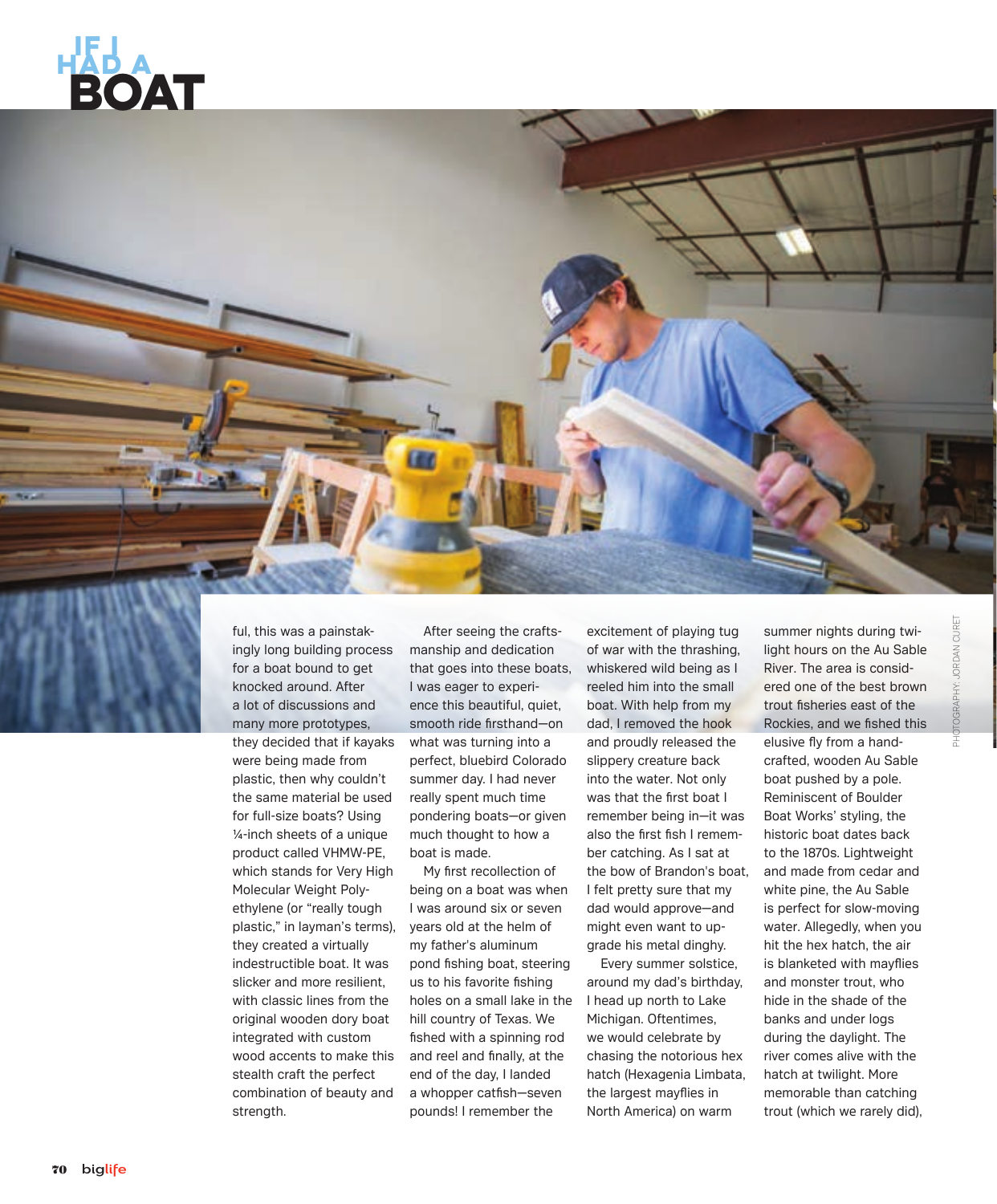



ful, this was a painstakingly long building process for a boat bound to get knocked around. After a lot of discussions and many more prototypes, they decided that if kayaks were being made from plastic, then why couldn't the same material be used for full-size boats? Using ¼-inch sheets of a unique product called VHMW-PE, which stands for Very High Molecular Weight Polyethylene (or "really tough plastic," in layman's terms), they created a virtually indestructible boat. It was slicker and more resilient, with classic lines from the original wooden dory boat integrated with custom wood accents to make this stealth craft the perfect combination of beauty and strength.

After seeing the craftsmanship and dedication that goes into these boats, I was eager to experience this beautiful, quiet, smooth ride firsthand—on what was turning into a perfect, bluebird Colorado summer day. I had never really spent much time pondering boats—or given much thought to how a boat is made.

My first recollection of being on a boat was when I was around six or seven years old at the helm of my father's aluminum pond fishing boat, steering us to his favorite fishing holes on a small lake in the hill country of Texas. We fished with a spinning rod and reel and finally, at the end of the day, I landed a whopper catfish—seven pounds! I remember the

excitement of playing tug of war with the thrashing, whiskered wild being as I reeled him into the small boat. With help from my dad, I removed the hook and proudly released the slippery creature back into the water. Not only was that the first boat I remember being in—it was also the first fish I remember catching. As I sat at the bow of Brandon's boat, I felt pretty sure that my dad would approve—and might even want to upgrade his metal dinghy.

Every summer solstice, around my dad's birthday, I head up north to Lake Michigan. Oftentimes, we would celebrate by chasing the notorious hex hatch (Hexagenia Limbata, the largest mayflies in North America) on warm

summer nights during twilight hours on the Au Sable River. The area is considered one of the best brown trout fisheries east of the Rockies, and we fished this elusive fly from a handcrafted, wooden Au Sable boat pushed by a pole. Reminiscent of Boulder Boat Works' styling, the historic boat dates back to the 1870s. Lightweight and made from cedar and white pine, the Au Sable is perfect for slow-moving water. Allegedly, when you hit the hex hatch, the air is blanketed with mayflies and monster trout, who hide in the shade of the banks and under logs during the daylight. The river comes alive with the hatch at twilight. More memorable than catching trout (which we rarely did),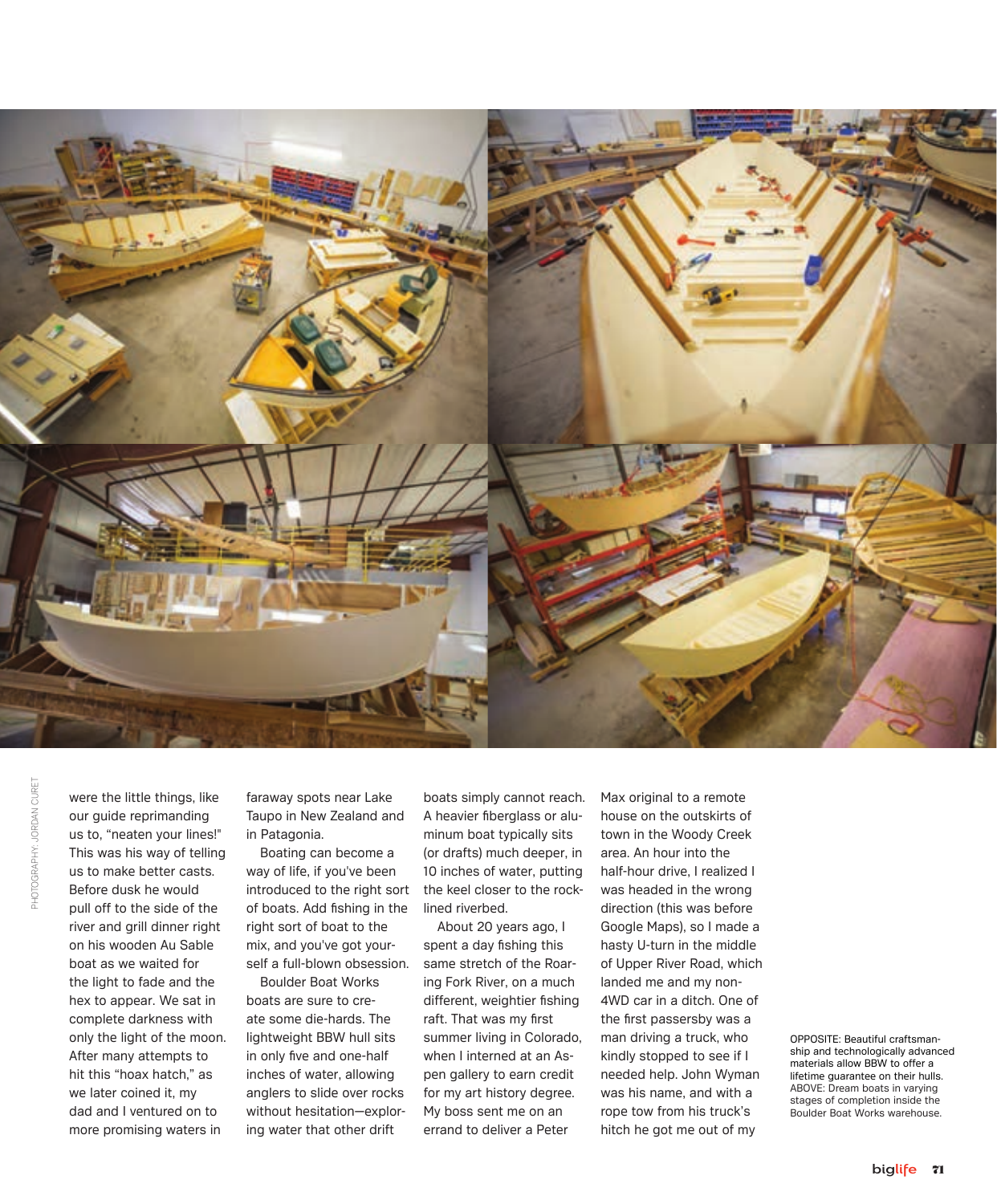

us to, "neaten your lines!" This was his way of telling us to make better casts. Before dusk he would pull off to the side of the river and grill dinner right on his wooden Au Sable boat as we waited for the light to fade and the hex to appear. We sat in complete darkness with only the light of the moon. After many attempts to hit this "hoax hatch," as we later coined it, my dad and I ventured on to more promising waters in

were the little things, like our guide reprimanding

faraway spots near Lake Taupo in New Zealand and in Patagonia.

Boating can become a way of life, if you've been introduced to the right sort of boats. Add fishing in the right sort of boat to the mix, and you've got yourself a full-blown obsession.

Boulder Boat Works boats are sure to create some die-hards. The lightweight BBW hull sits in only five and one-half inches of water, allowing anglers to slide over rocks without hesitation—exploring water that other drift

boats simply cannot reach. A heavier fiberglass or aluminum boat typically sits (or drafts) much deeper, in 10 inches of water, putting the keel closer to the rocklined riverbed.

About 20 years ago, I spent a day fishing this same stretch of the Roaring Fork River, on a much different, weightier fishing raft. That was my first summer living in Colorado, when I interned at an Aspen gallery to earn credit for my art history degree. My boss sent me on an errand to deliver a Peter

Max original to a remote house on the outskirts of town in the Woody Creek area. An hour into the half-hour drive, I realized I was headed in the wrong direction (this was before Google Maps), so I made a hasty U-turn in the middle of Upper River Road, which landed me and my non-4WD car in a ditch. One of the first passersby was a man driving a truck, who kindly stopped to see if I needed help. John Wyman was his name, and with a rope tow from his truck's hitch he got me out of my

OPPOSITE: Beautiful craftsmanship and technologically advanced materials allow BBW to offer a lifetime guarantee on their hulls. ABOVE: Dream boats in varying stages of completion inside the Boulder Boat Works warehouse.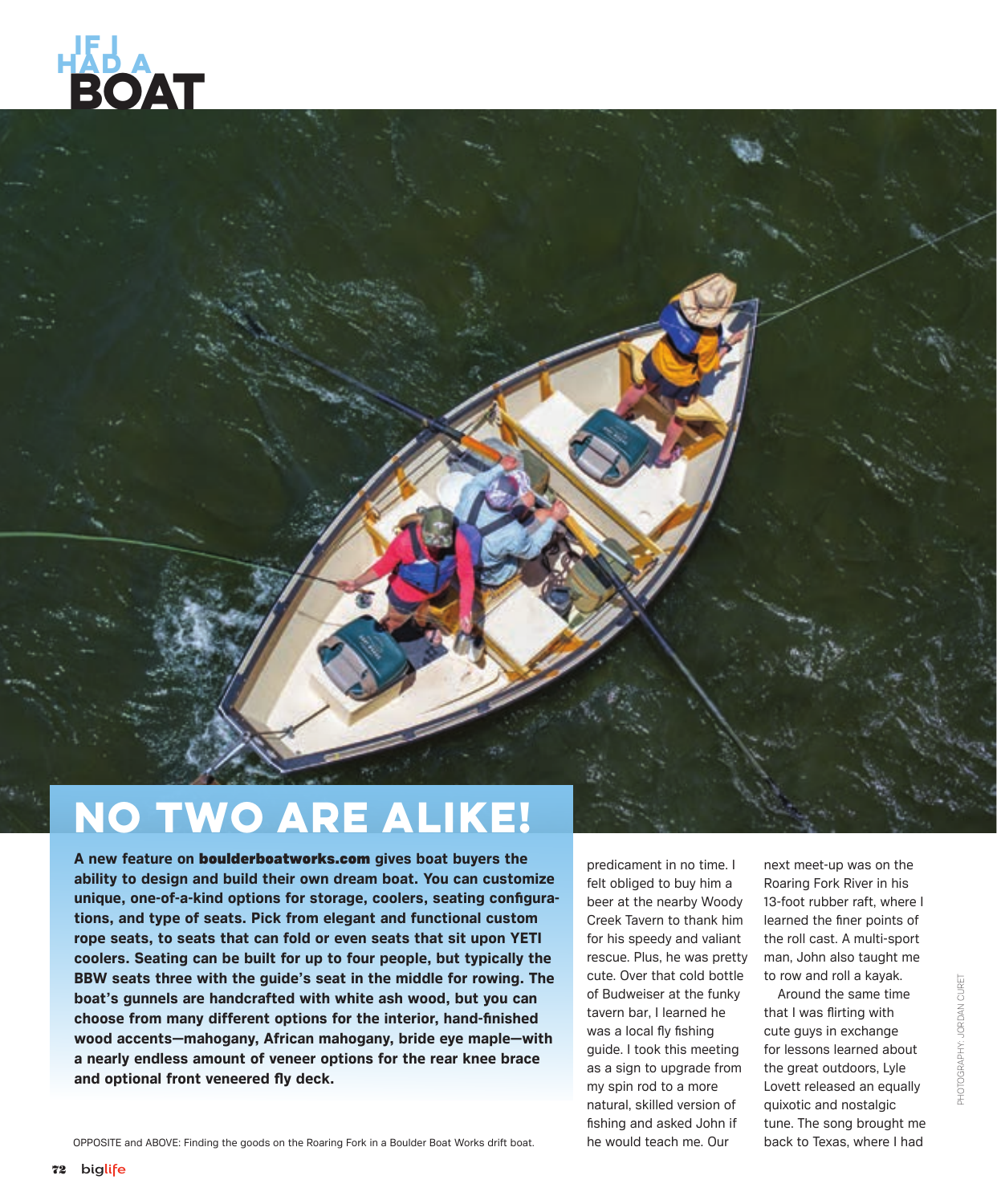

## **No two are alike!**

**A new feature on** boulderboatworks.com **gives boat buyers the ability to design and build their own dream boat. You can customize unique, one-of-a-kind options for storage, coolers, seating configurations, and type of seats. Pick from elegant and functional custom rope seats, to seats that can fold or even seats that sit upon YETI coolers. Seating can be built for up to four people, but typically the BBW seats three with the guide's seat in the middle for rowing. The boat's gunnels are handcrafted with white ash wood, but you can choose from many different options for the interior, hand-finished wood accents—mahogany, African mahogany, bride eye maple—with a nearly endless amount of veneer options for the rear knee brace and optional front veneered fly deck.**

predicament in no time. I felt obliged to buy him a beer at the nearby Woody Creek Tavern to thank him for his speedy and valiant rescue. Plus, he was pretty cute. Over that cold bottle of Budweiser at the funky tavern bar, I learned he was a local fly fishing guide. I took this meeting as a sign to upgrade from my spin rod to a more natural, skilled version of fishing and asked John if he would teach me. Our

next meet-up was on the Roaring Fork River in his 13-foot rubber raft, where I learned the finer points of the roll cast. A multi-sport man, John also taught me to row and roll a kayak.

Around the same time that I was flirting with cute guys in exchange for lessons learned about the great outdoors, Lyle Lovett released an equally quixotic and nostalgic tune. The song brought me back to Texas, where I had